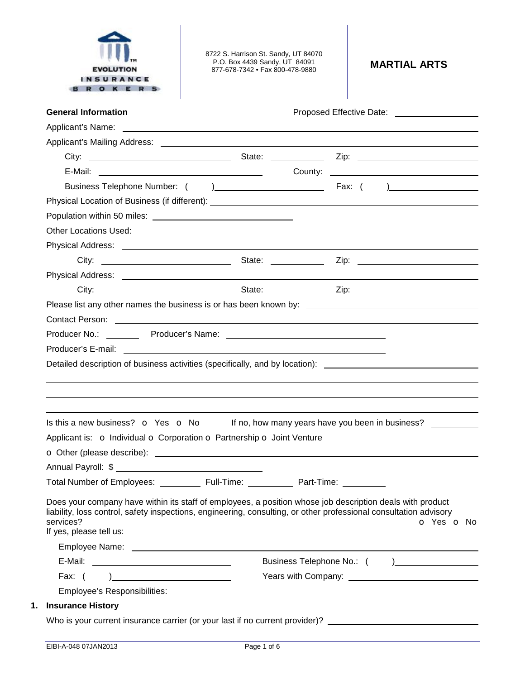

8722 S. Harrison St. Sandy, UT 84070 P.O. Box 4439 Sandy, UT 84091 877-678-7342 • Fax 800-478-9880 **MARTIAL ARTS** 

| <b>General Information</b>                                                                                                                                                                                                                                             |            | Proposed Effective Date: 2008. 2009. 2012. 2014. 2015. 2016. 2017. 2018. 2019. 2017. 2018. 2019. 201 |            |
|------------------------------------------------------------------------------------------------------------------------------------------------------------------------------------------------------------------------------------------------------------------------|------------|------------------------------------------------------------------------------------------------------|------------|
|                                                                                                                                                                                                                                                                        |            |                                                                                                      |            |
|                                                                                                                                                                                                                                                                        |            |                                                                                                      |            |
|                                                                                                                                                                                                                                                                        |            |                                                                                                      |            |
|                                                                                                                                                                                                                                                                        |            |                                                                                                      |            |
|                                                                                                                                                                                                                                                                        |            |                                                                                                      |            |
|                                                                                                                                                                                                                                                                        |            |                                                                                                      |            |
|                                                                                                                                                                                                                                                                        |            |                                                                                                      |            |
| <b>Other Locations Used:</b>                                                                                                                                                                                                                                           |            |                                                                                                      |            |
|                                                                                                                                                                                                                                                                        |            |                                                                                                      |            |
|                                                                                                                                                                                                                                                                        |            |                                                                                                      |            |
|                                                                                                                                                                                                                                                                        |            |                                                                                                      |            |
|                                                                                                                                                                                                                                                                        |            |                                                                                                      |            |
|                                                                                                                                                                                                                                                                        |            |                                                                                                      |            |
|                                                                                                                                                                                                                                                                        |            |                                                                                                      |            |
|                                                                                                                                                                                                                                                                        |            |                                                                                                      |            |
|                                                                                                                                                                                                                                                                        |            |                                                                                                      |            |
| Detailed description of business activities (specifically, and by location): _________________________________                                                                                                                                                         |            |                                                                                                      |            |
|                                                                                                                                                                                                                                                                        |            |                                                                                                      |            |
|                                                                                                                                                                                                                                                                        |            |                                                                                                      |            |
|                                                                                                                                                                                                                                                                        |            |                                                                                                      |            |
|                                                                                                                                                                                                                                                                        |            |                                                                                                      |            |
|                                                                                                                                                                                                                                                                        |            |                                                                                                      |            |
| Is this a new business? $\bullet$ Yes $\bullet$ No If no, how many years have you been in business?<br>Applicant is: o Individual o Corporation o Partnership o Joint Venture<br>Total Number of Employees: ___________ Full-Time:                                     | Part-Time: |                                                                                                      |            |
| Does your company have within its staff of employees, a position whose job description deals with product<br>liability, loss control, safety inspections, engineering, consulting, or other professional consultation advisory<br>services?<br>If yes, please tell us: |            |                                                                                                      |            |
|                                                                                                                                                                                                                                                                        |            |                                                                                                      |            |
|                                                                                                                                                                                                                                                                        |            | Business Telephone No.: () __________________                                                        |            |
|                                                                                                                                                                                                                                                                        |            |                                                                                                      | o Yes o No |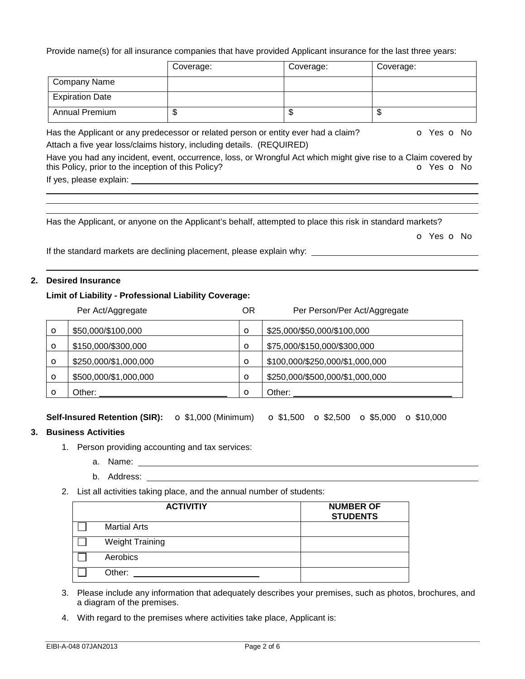Provide name(s) for all insurance companies that have provided Applicant insurance for the last three years:

|                                                     | Coverage:                                                                                                       | Coverage: | Coverage:  |
|-----------------------------------------------------|-----------------------------------------------------------------------------------------------------------------|-----------|------------|
| <b>Company Name</b>                                 |                                                                                                                 |           |            |
| <b>Expiration Date</b>                              |                                                                                                                 |           |            |
| <b>Annual Premium</b>                               | \$                                                                                                              | \$        | \$         |
|                                                     | Has the Applicant or any predecessor or related person or entity ever had a claim?                              |           | O Yes O No |
|                                                     | Attach a five year loss/claims history, including details. (REQUIRED)                                           |           |            |
| this Policy, prior to the inception of this Policy? | Have you had any incident, event, occurrence, loss, or Wrongful Act which might give rise to a Claim covered by |           | O Yes O No |

Has the Applicant, or anyone on the Applicant's behalf, attempted to place this risk in standard markets?

o Yes o No

If the standard markets are declining placement, please explain why:

## **2. Desired Insurance**

## **Limit of Liability - Professional Liability Coverage:**

If yes, please explain:

Per Act/Aggregate **DR** Per Person/Per Act/Aggregate

| O | \$50,000/\$100,000    | O       | \$25,000/\$50,000/\$100,000     |
|---|-----------------------|---------|---------------------------------|
| O | \$150,000/\$300,000   | O       | \$75,000/\$150,000/\$300,000    |
| O | \$250,000/\$1,000,000 | $\circ$ | \$100,000/\$250,000/\$1,000,000 |
| O | \$500,000/\$1,000,000 | $\circ$ | \$250,000/\$500,000/\$1,000,000 |
| O | Other:                | $\circ$ | Other:                          |

**Self-Insured Retention (SIR):** o \$1,000 (Minimum) o \$1,500 o \$2,500 o \$5,000 o \$10,000

## **3. Business Activities**

- 1. Person providing accounting and tax services:
	- a. Name:
	- b. Address:
- 2. List all activities taking place, and the annual number of students:

| <b>ACTIVITIY</b>       | <b>NUMBER OF</b><br><b>STUDENTS</b> |
|------------------------|-------------------------------------|
| <b>Martial Arts</b>    |                                     |
| <b>Weight Training</b> |                                     |
| Aerobics               |                                     |
| Other:                 |                                     |

- 3. Please include any information that adequately describes your premises, such as photos, brochures, and a diagram of the premises.
- 4. With regard to the premises where activities take place, Applicant is: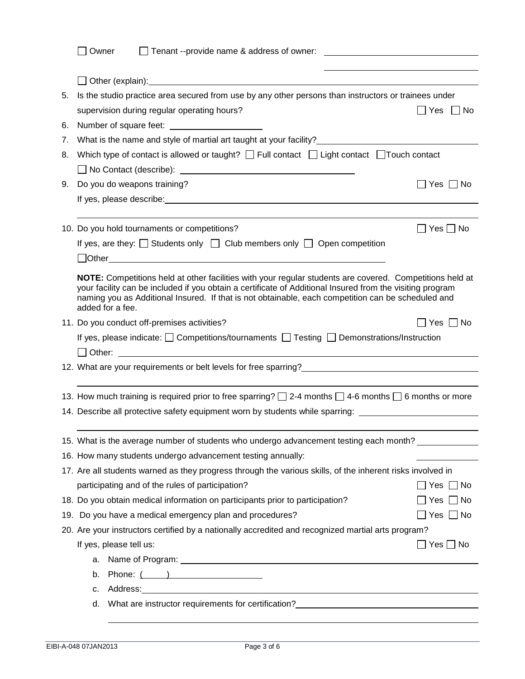|    | Owner                                                                                                                                                                                                                               |                          |
|----|-------------------------------------------------------------------------------------------------------------------------------------------------------------------------------------------------------------------------------------|--------------------------|
|    |                                                                                                                                                                                                                                     |                          |
|    |                                                                                                                                                                                                                                     |                          |
| 5. | Is the studio practice area secured from use by any other persons than instructors or trainees under                                                                                                                                |                          |
|    | supervision during regular operating hours?                                                                                                                                                                                         | $\Box$ Yes $\Box$ No     |
| 6. |                                                                                                                                                                                                                                     |                          |
| 7. | What is the name and style of martial art taught at your facility?<br>The manner of the name and style of martial art taught at your facility?                                                                                      |                          |
| 8. | Which type of contact is allowed or taught? $\Box$ Full contact $\Box$ Light contact $\Box$ Touch contact                                                                                                                           |                          |
|    |                                                                                                                                                                                                                                     |                          |
| 9. | Do you do weapons training?                                                                                                                                                                                                         | $\Box$ Yes $\Box$ No     |
|    |                                                                                                                                                                                                                                     |                          |
|    |                                                                                                                                                                                                                                     |                          |
|    | 10. Do you hold tournaments or competitions?                                                                                                                                                                                        | $\Box$ Yes $\Box$ No     |
|    | If yes, are they: $\Box$ Students only $\Box$ Club members only $\Box$ Open competition                                                                                                                                             |                          |
|    | Dother <u>Communications</u> and the contract of the contract of the contract of the contract of the contract of the contract of the contract of the contract of the contract of the contract of the contract of the contract of th |                          |
|    | NOTE: Competitions held at other facilities with your regular students are covered. Competitions held at                                                                                                                            |                          |
|    | your facility can be included if you obtain a certificate of Additional Insured from the visiting program                                                                                                                           |                          |
|    | naming you as Additional Insured. If that is not obtainable, each competition can be scheduled and<br>added for a fee.                                                                                                              |                          |
|    | 11. Do you conduct off-premises activities?                                                                                                                                                                                         | ]Yes □ No                |
|    | If yes, please indicate: $\Box$ Competitions/tournaments $\Box$ Testing $\Box$ Demonstrations/Instruction                                                                                                                           |                          |
|    |                                                                                                                                                                                                                                     |                          |
|    | 12. What are your requirements or belt levels for free sparring?___________________________________                                                                                                                                 |                          |
|    |                                                                                                                                                                                                                                     |                          |
|    | 13. How much training is required prior to free sparring? $\Box$ 2-4 months $\Box$ 4-6 months $\Box$ 6 months or more                                                                                                               |                          |
|    | 14. Describe all protective safety equipment worn by students while sparring: _____________________                                                                                                                                 |                          |
|    |                                                                                                                                                                                                                                     |                          |
|    | 15. What is the average number of students who undergo advancement testing each month?                                                                                                                                              |                          |
|    | 16. How many students undergo advancement testing annually:                                                                                                                                                                         |                          |
|    | 17. Are all students warned as they progress through the various skills, of the inherent risks involved in                                                                                                                          |                          |
|    | participating and of the rules of participation?                                                                                                                                                                                    | $\sqcap$ Yes $\sqcap$ No |
|    | 18. Do you obtain medical information on participants prior to participation?                                                                                                                                                       | $\Box$ Yes $\Box$ No     |
|    | 19. Do you have a medical emergency plan and procedures?                                                                                                                                                                            | $\Box$ Yes $\Box$ No     |
|    | 20. Are your instructors certified by a nationally accredited and recognized martial arts program?                                                                                                                                  |                          |
|    | If yes, please tell us:                                                                                                                                                                                                             | $\Box$ Yes $\Box$ No     |
|    | а.                                                                                                                                                                                                                                  |                          |
|    | Phone: $($ $)$<br>b.                                                                                                                                                                                                                |                          |
|    | C.                                                                                                                                                                                                                                  |                          |
|    | What are instructor requirements for certification?<br>What are instructor requirements for certification?<br>d.                                                                                                                    |                          |
|    |                                                                                                                                                                                                                                     |                          |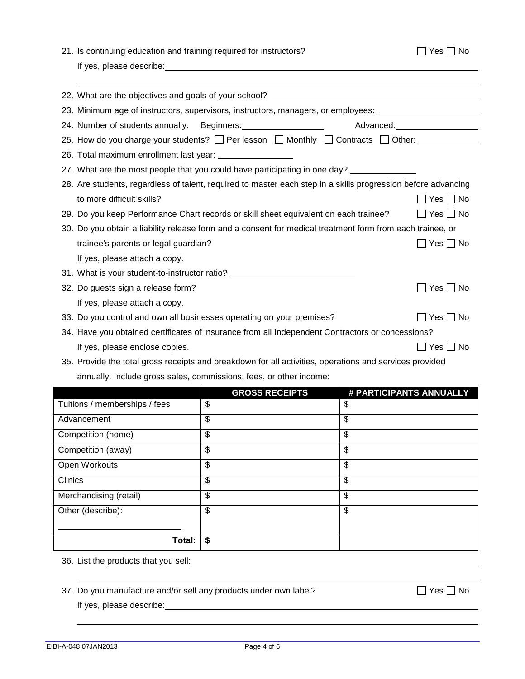| 21. Is continuing education and training required for instructors? |                                                                                                                                                                                                                               |                          | $Yes \Box No$                |
|--------------------------------------------------------------------|-------------------------------------------------------------------------------------------------------------------------------------------------------------------------------------------------------------------------------|--------------------------|------------------------------|
|                                                                    | If yes, please describe: with the state of the state of the state of the state of the state of the state of the state of the state of the state of the state of the state of the state of the state of the state of the state |                          |                              |
|                                                                    |                                                                                                                                                                                                                               |                          |                              |
|                                                                    | 22. What are the objectives and goals of your school? <b>Example 22. What are the objectives</b>                                                                                                                              |                          |                              |
|                                                                    | 23. Minimum age of instructors, supervisors, instructors, managers, or employees: __________________                                                                                                                          |                          |                              |
|                                                                    | 24. Number of students annually: Beginners: 1997 Manuscription of Students annually:                                                                                                                                          |                          | Advanced: National Advanced: |
|                                                                    | 25. How do you charge your students? $\Box$ Per lesson $\Box$ Monthly $\Box$ Contracts $\Box$ Other: _____________                                                                                                            |                          |                              |
|                                                                    |                                                                                                                                                                                                                               |                          |                              |
|                                                                    | 27. What are the most people that you could have participating in one day?                                                                                                                                                    |                          |                              |
|                                                                    | 28. Are students, regardless of talent, required to master each step in a skills progression before advancing                                                                                                                 |                          |                              |
| to more difficult skills?                                          |                                                                                                                                                                                                                               |                          | $\Box$ Yes $\Box$ No         |
|                                                                    | 29. Do you keep Performance Chart records or skill sheet equivalent on each trainee?                                                                                                                                          |                          | $\Box$ Yes $\Box$ No         |
|                                                                    | 30. Do you obtain a liability release form and a consent for medical treatment form from each trainee, or                                                                                                                     |                          |                              |
| trainee's parents or legal guardian?                               |                                                                                                                                                                                                                               |                          | $\Box$ Yes $\Box$ No         |
| If yes, please attach a copy.                                      |                                                                                                                                                                                                                               |                          |                              |
|                                                                    | 31. What is your student-to-instructor ratio? __________________________________                                                                                                                                              |                          |                              |
| 32. Do guests sign a release form?                                 |                                                                                                                                                                                                                               |                          | $\square$ Yes $\square$ No   |
| If yes, please attach a copy.                                      |                                                                                                                                                                                                                               |                          |                              |
|                                                                    | 33. Do you control and own all businesses operating on your premises?                                                                                                                                                         |                          | $\Box$ Yes $\Box$ No         |
|                                                                    | 34. Have you obtained certificates of insurance from all Independent Contractors or concessions?                                                                                                                              |                          |                              |
| If yes, please enclose copies.                                     |                                                                                                                                                                                                                               |                          | Yes  No                      |
|                                                                    | 35. Provide the total gross receipts and breakdown for all activities, operations and services provided                                                                                                                       |                          |                              |
|                                                                    | annually. Include gross sales, commissions, fees, or other income:                                                                                                                                                            |                          |                              |
|                                                                    | <b>GROSS RECEIPTS</b>                                                                                                                                                                                                         |                          | # PARTICIPANTS ANNUALLY      |
| Tuitions / memberships / fees                                      | \$                                                                                                                                                                                                                            | \$                       |                              |
| Advancement                                                        | \$                                                                                                                                                                                                                            | $\overline{\mathcal{S}}$ |                              |

36. List the products that you sell:

37. Do you manufacture and/or sell any products under own label?  $\Box$  Yes  $\Box$  No

**Total: \$**

Competition (home)  $\boxed{\$}$ Competition (away)  $\boxed{\$}$ Open Workouts **\$** \$  $\blacksquare$   $\blacksquare$ Merchandising (retail)  $\boxed{\$}$ 

If yes, please describe:

Other (describe):

 $\sim$  \$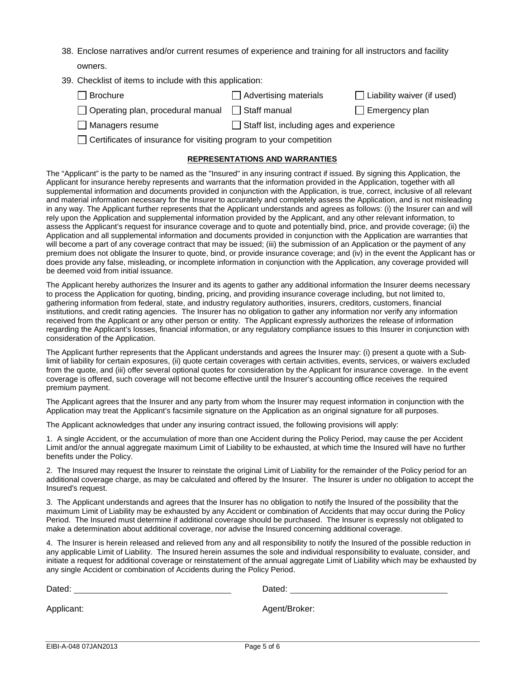- 38. Enclose narratives and/or current resumes of experience and training for all instructors and facility owners.
- 39. Checklist of items to include with this application:

| $\Box$ Brochure                                              | $\Box$ Advertising materials | $\Box$ Liability waiver (if used) |
|--------------------------------------------------------------|------------------------------|-----------------------------------|
| $\Box$ Operating plan, procedural manual $\Box$ Staff manual |                              | $\Box$ Emergency plan             |

 $\Box$  Managers resume  $\Box$  Staff list, including ages and experience

 $\Box$  Certificates of insurance for visiting program to your competition

## **REPRESENTATIONS AND WARRANTIES**

The "Applicant" is the party to be named as the "Insured" in any insuring contract if issued. By signing this Application, the Applicant for insurance hereby represents and warrants that the information provided in the Application, together with all supplemental information and documents provided in conjunction with the Application, is true, correct, inclusive of all relevant and material information necessary for the Insurer to accurately and completely assess the Application, and is not misleading in any way. The Applicant further represents that the Applicant understands and agrees as follows: (i) the Insurer can and will rely upon the Application and supplemental information provided by the Applicant, and any other relevant information, to assess the Applicant's request for insurance coverage and to quote and potentially bind, price, and provide coverage; (ii) the Application and all supplemental information and documents provided in conjunction with the Application are warranties that will become a part of any coverage contract that may be issued; (iii) the submission of an Application or the payment of any premium does not obligate the Insurer to quote, bind, or provide insurance coverage; and (iv) in the event the Applicant has or does provide any false, misleading, or incomplete information in conjunction with the Application, any coverage provided will be deemed void from initial issuance.

The Applicant hereby authorizes the Insurer and its agents to gather any additional information the Insurer deems necessary to process the Application for quoting, binding, pricing, and providing insurance coverage including, but not limited to, gathering information from federal, state, and industry regulatory authorities, insurers, creditors, customers, financial institutions, and credit rating agencies. The Insurer has no obligation to gather any information nor verify any information received from the Applicant or any other person or entity. The Applicant expressly authorizes the release of information regarding the Applicant's losses, financial information, or any regulatory compliance issues to this Insurer in conjunction with consideration of the Application.

The Applicant further represents that the Applicant understands and agrees the Insurer may: (i) present a quote with a Sublimit of liability for certain exposures, (ii) quote certain coverages with certain activities, events, services, or waivers excluded from the quote, and (iii) offer several optional quotes for consideration by the Applicant for insurance coverage. In the event coverage is offered, such coverage will not become effective until the Insurer's accounting office receives the required premium payment.

The Applicant agrees that the Insurer and any party from whom the Insurer may request information in conjunction with the Application may treat the Applicant's facsimile signature on the Application as an original signature for all purposes.

The Applicant acknowledges that under any insuring contract issued, the following provisions will apply:

1. A single Accident, or the accumulation of more than one Accident during the Policy Period, may cause the per Accident Limit and/or the annual aggregate maximum Limit of Liability to be exhausted, at which time the Insured will have no further benefits under the Policy.

2. The Insured may request the Insurer to reinstate the original Limit of Liability for the remainder of the Policy period for an additional coverage charge, as may be calculated and offered by the Insurer. The Insurer is under no obligation to accept the Insured's request.

3. The Applicant understands and agrees that the Insurer has no obligation to notify the Insured of the possibility that the maximum Limit of Liability may be exhausted by any Accident or combination of Accidents that may occur during the Policy Period. The Insured must determine if additional coverage should be purchased. The Insurer is expressly not obligated to make a determination about additional coverage, nor advise the Insured concerning additional coverage.

4. The Insurer is herein released and relieved from any and all responsibility to notify the Insured of the possible reduction in any applicable Limit of Liability. The Insured herein assumes the sole and individual responsibility to evaluate, consider, and initiate a request for additional coverage or reinstatement of the annual aggregate Limit of Liability which may be exhausted by any single Accident or combination of Accidents during the Policy Period.

| Dated:     | Dated:        |
|------------|---------------|
| Applicant: | Agent/Broker: |
|            |               |